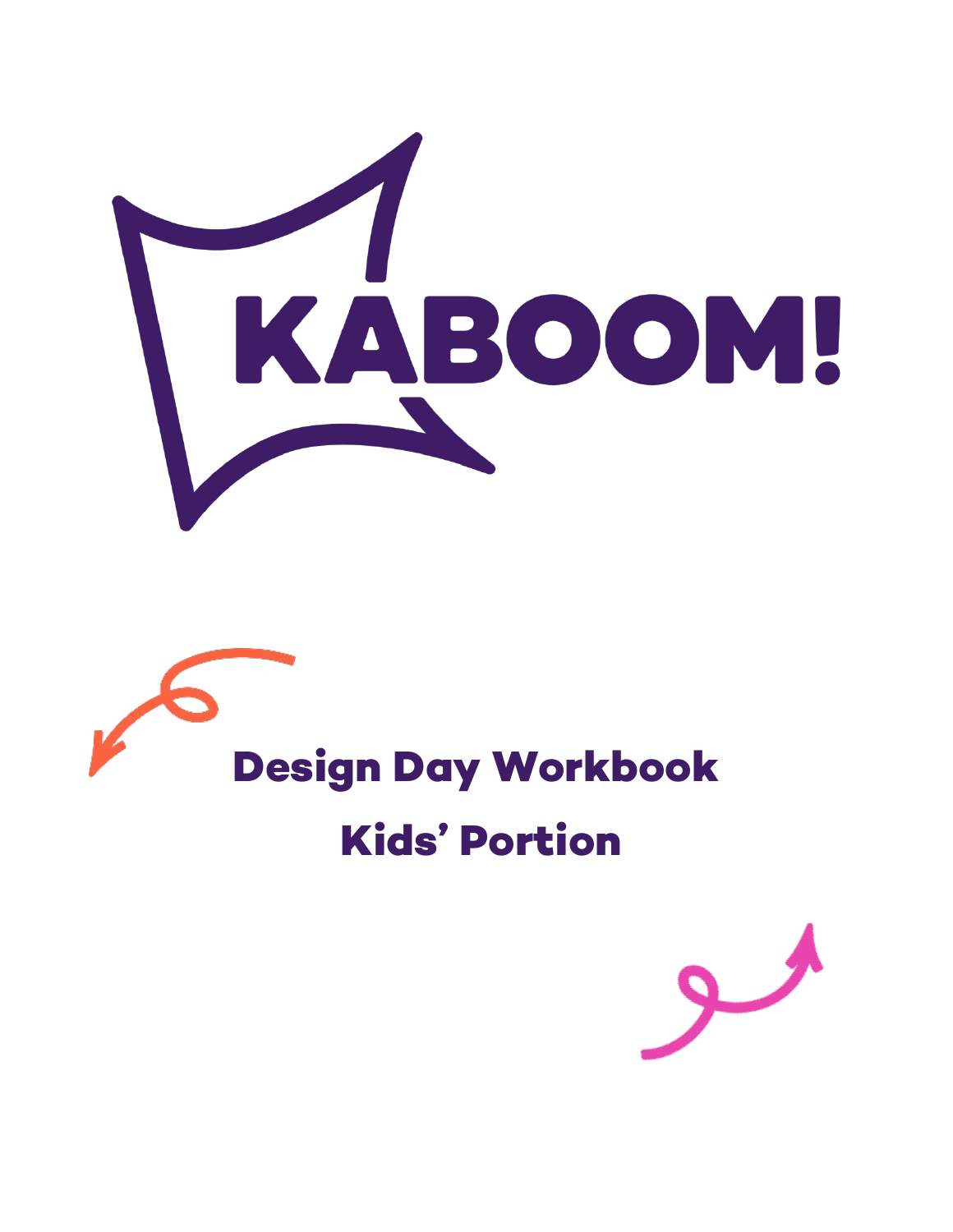



# **Kids' Portion**

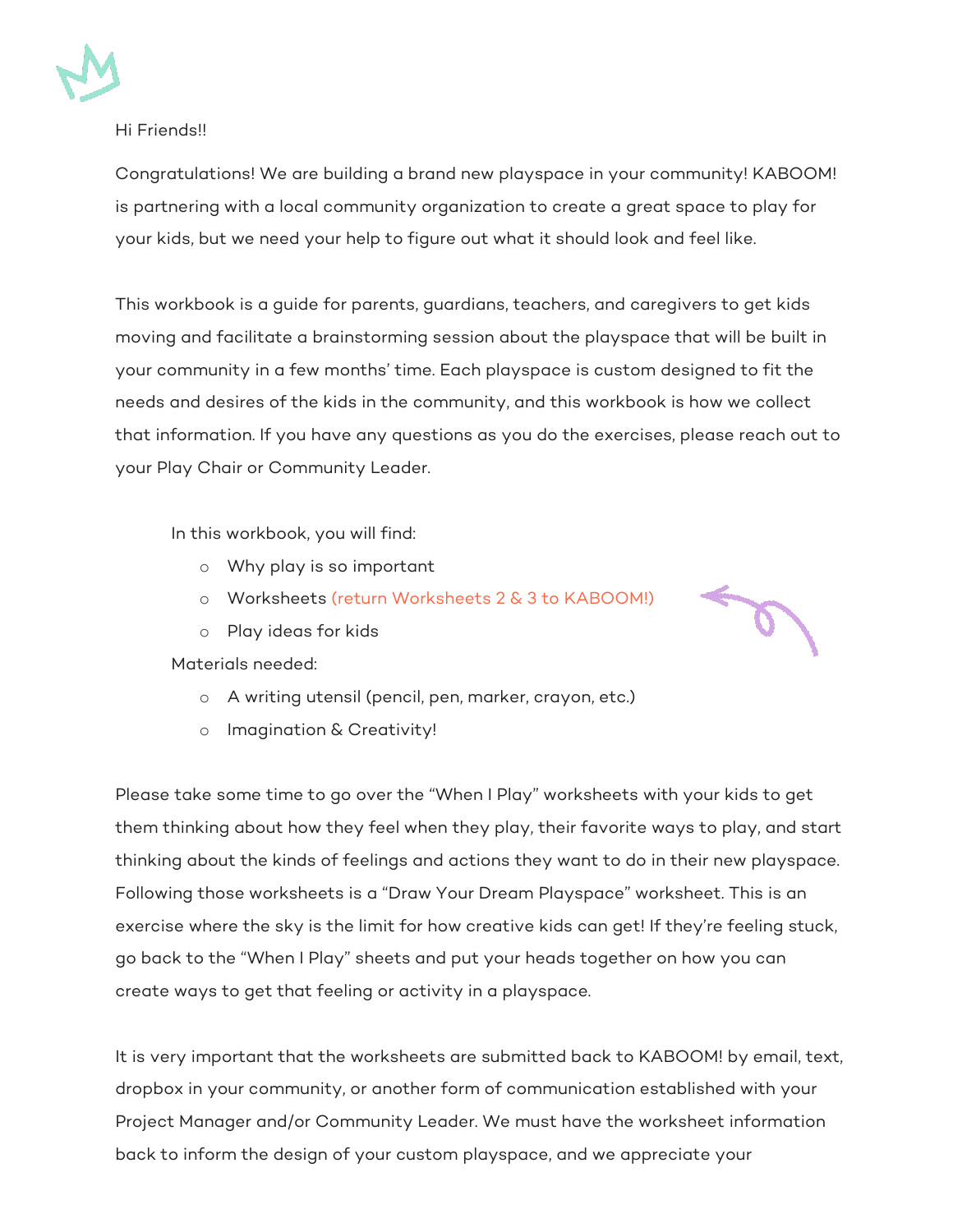

#### Hi Friends!!

Congratulations! We are building a brand new playspace in your community! KABOOM! is partnering with a local community organization to create a great space to play for your kids, but we need your help to figure out what it should look and feel like.

This workbook is a guide for parents, guardians, teachers, and caregivers to get kids moving and facilitate a brainstorming session about the playspace that will be built in your community in a few months' time. Each playspace is custom designed to fit the needs and desires of the kids in the community, and this workbook is how we collect that information. If you have any questions as you do the exercises, please reach out to your Play Chair or Community Leader.

In this workbook, you will find:

- o Why play is so important
- o Worksheets (return Worksheets 2 & 3 to KABOOM!)
- o Play ideas for kids

Materials needed:

- o A writing utensil (pencil, pen, marker, crayon, etc.)
- o Imagination & Creativity!

Please take some time to go over the "When I Play" worksheets with your kids to get them thinking about how they feel when they play, their favorite ways to play, and start thinking about the kinds of feelings and actions they want to do in their new playspace. Following those worksheets is a "Draw Your Dream Playspace" worksheet. This is an exercise where the sky is the limit for how creative kids can get! If they're feeling stuck, go back to the "When I Play" sheets and put your heads together on how you can create ways to get that feeling or activity in a playspace.

It is very important that the worksheets are submitted back to KABOOM! by email, text, dropbox in your community, or another form of communication established with your Project Manager and/or Community Leader. We must have the worksheet information back to inform the design of your custom playspace, and we appreciate your

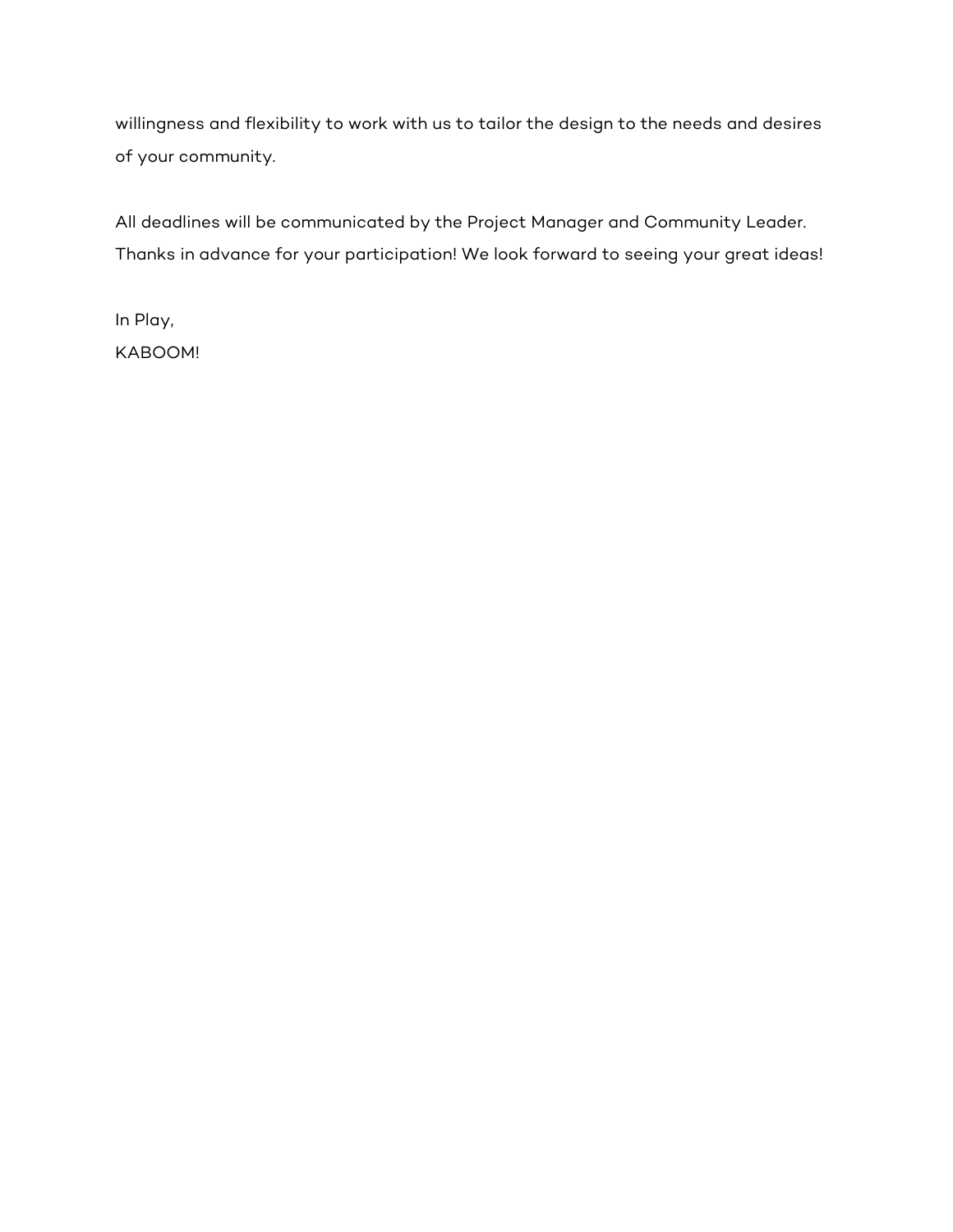willingness and flexibility to work with us to tailor the design to the needs and desires of your community.

All deadlines will be communicated by the Project Manager and Community Leader. Thanks in advance for your participation! We look forward to seeing your great ideas!

In Play, KABOOM!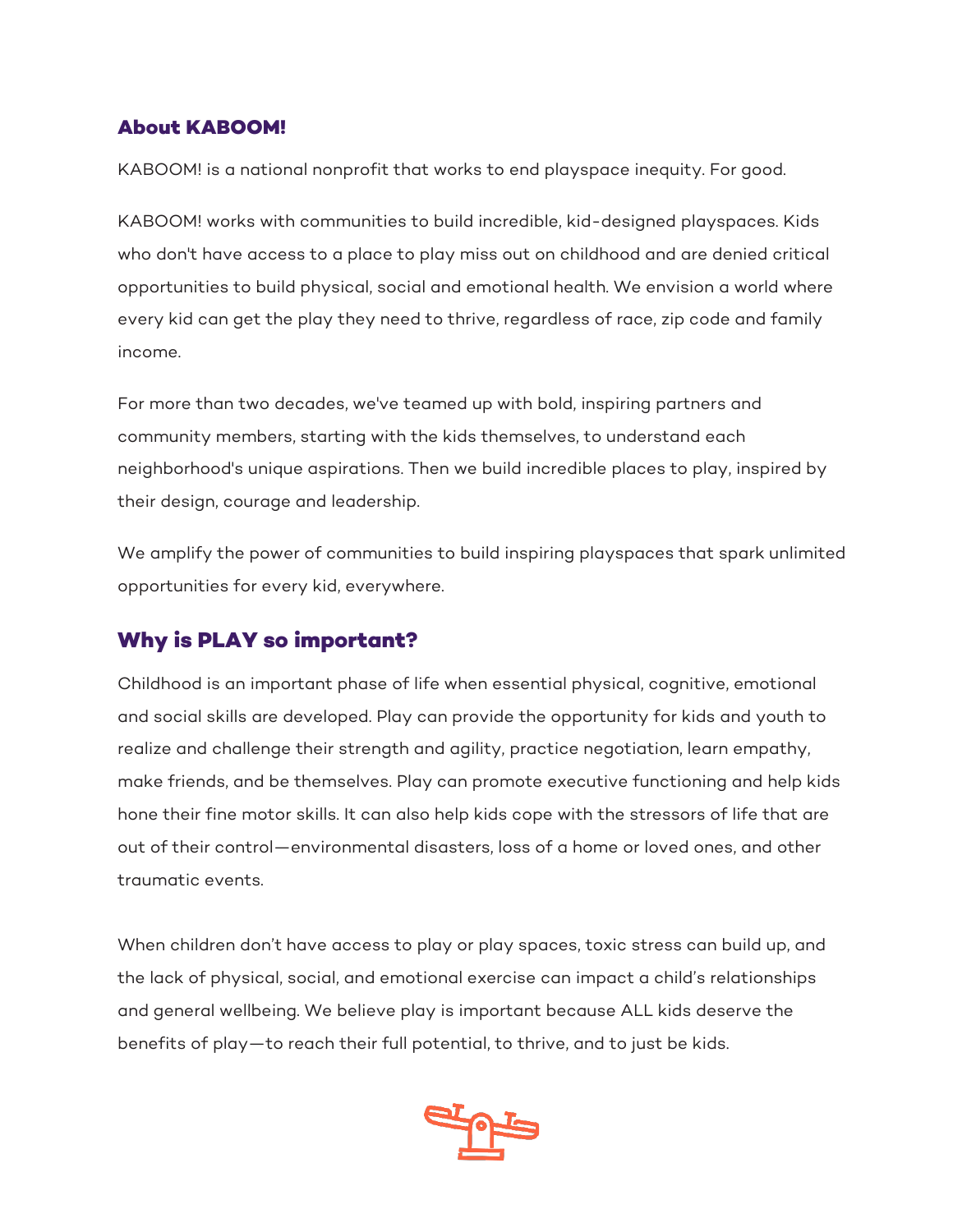### **About KABOOM!**

KABOOM! is a national nonprofit that works to end playspace inequity. For good.

KABOOM! works with communities to build incredible, kid-designed playspaces. Kids who don't have access to a place to play miss out on childhood and are denied critical opportunities to build physical, social and emotional health. We envision a world where every kid can get the play they need to thrive, regardless of race, zip code and family income.

For more than two decades, we've teamed up with bold, inspiring partners and community members, starting with the kids themselves, to understand each neighborhood's unique aspirations. Then we build incredible places to play, inspired by their design, courage and leadership.

We amplify the power of communities to build inspiring playspaces that spark unlimited opportunities for every kid, everywhere.

## **Why is PLAY so important?**

Childhood is an important phase of life when essential physical, cognitive, emotional and social skills are developed. Play can provide the opportunity for kids and youth to realize and challenge their strength and agility, practice negotiation, learn empathy, make friends, and be themselves. Play can promote executive functioning and help kids hone their fine motor skills. It can also help kids cope with the stressors of life that are out of their control—environmental disasters, loss of a home or loved ones, and other traumatic events.

When children don't have access to play or play spaces, toxic stress can build up, and the lack of physical, social, and emotional exercise can impact a child's relationships and general wellbeing. We believe play is important because ALL kids deserve the benefits of play—to reach their full potential, to thrive, and to just be kids.

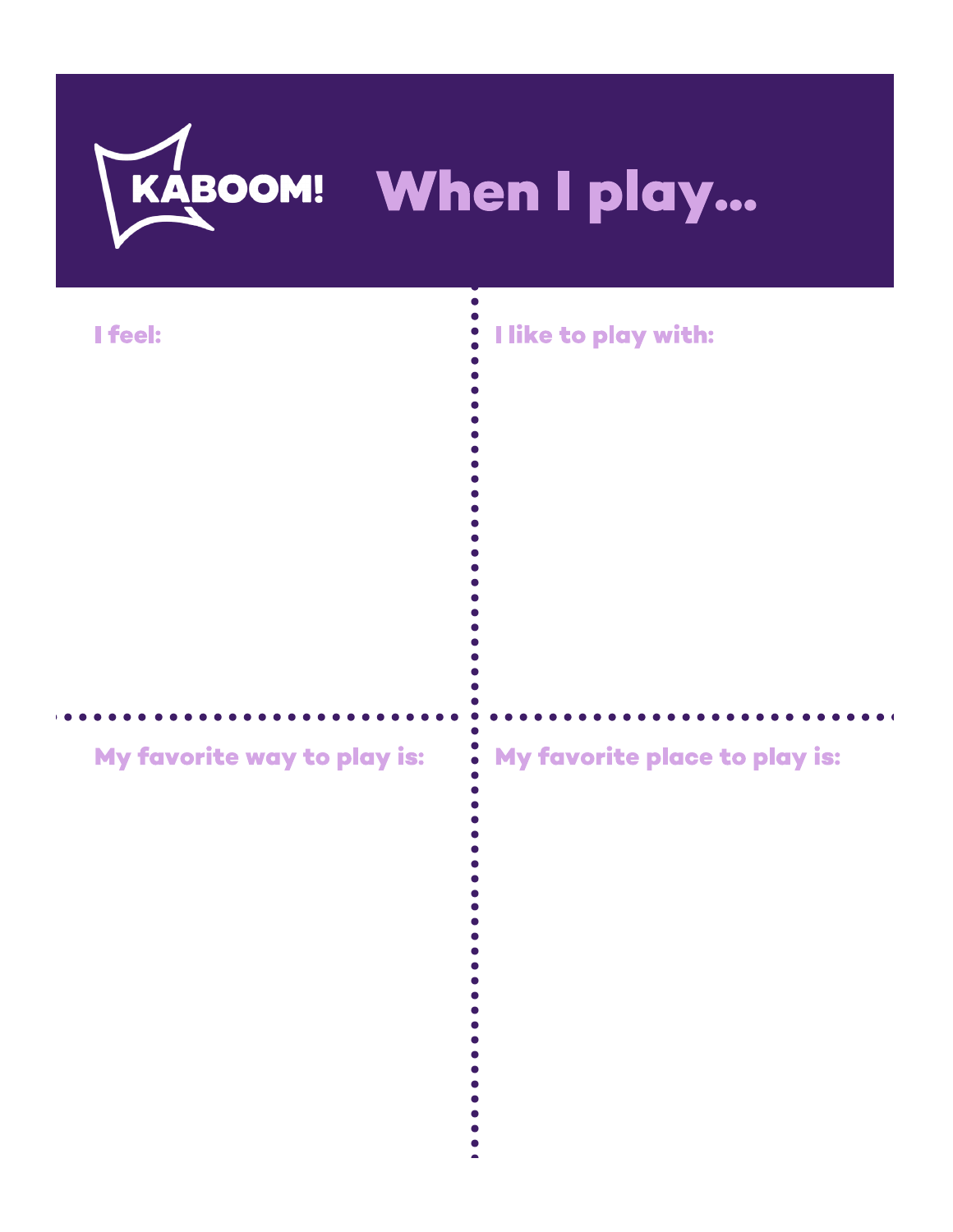

 $\bullet$ 

 $\bullet$ 

## I feel:

## My favorite way to play is:

## I like to play with:

## My favorite place to play is: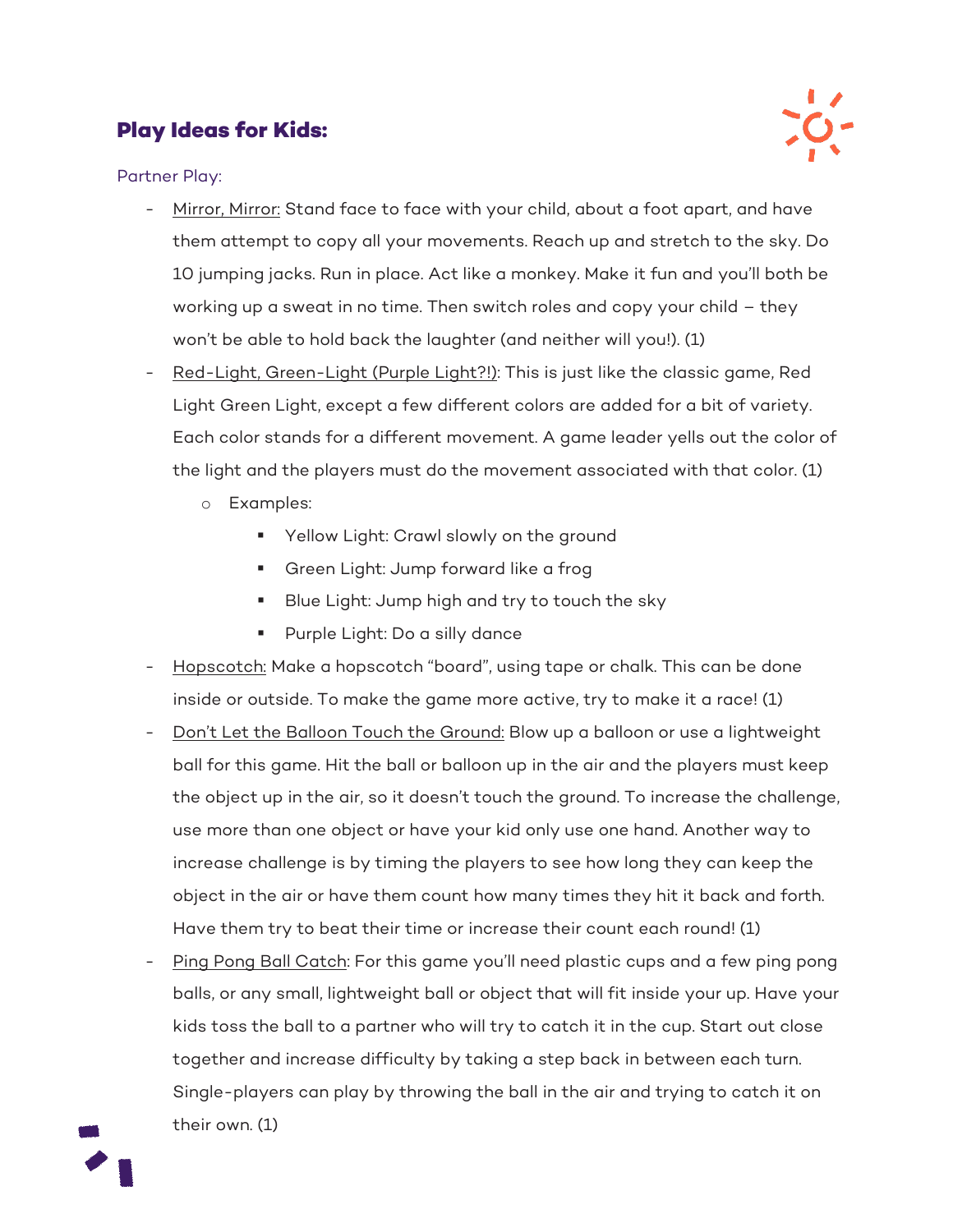## **Play Ideas for Kids:**



Partner Play:

- Mirror, Mirror: Stand face to face with your child, about a foot apart, and have them attempt to copy all your movements. Reach up and stretch to the sky. Do 10 jumping jacks. Run in place. Act like a monkey. Make it fun and you'll both be working up a sweat in no time. Then switch roles and copy your child – they won't be able to hold back the laughter (and neither will you!). (1)
- Red-Light, Green-Light (Purple Light?!): This is just like the classic game, Red Light Green Light, except a few different colors are added for a bit of variety. Each color stands for a different movement. A game leader yells out the color of the light and the players must do the movement associated with that color. (1)
	- o Examples:
		- **Yellow Light: Crawl slowly on the ground**
		- Green Light: Jump forward like a frog
		- Blue Light: Jump high and try to touch the sky
		- **Purple Light: Do a silly dance**
- Hopscotch: Make a hopscotch "board", using tape or chalk. This can be done inside or outside. To make the game more active, try to make it a race! (1)
- Don't Let the Balloon Touch the Ground: Blow up a balloon or use a lightweight ball for this game. Hit the ball or balloon up in the air and the players must keep the object up in the air, so it doesn't touch the ground. To increase the challenge, use more than one object or have your kid only use one hand. Another way to increase challenge is by timing the players to see how long they can keep the object in the air or have them count how many times they hit it back and forth. Have them try to beat their time or increase their count each round! (1)
- Ping Pong Ball Catch: For this game you'll need plastic cups and a few ping pong balls, or any small, lightweight ball or object that will fit inside your up. Have your kids toss the ball to a partner who will try to catch it in the cup. Start out close together and increase difficulty by taking a step back in between each turn. Single-players can play by throwing the ball in the air and trying to catch it on their own. (1)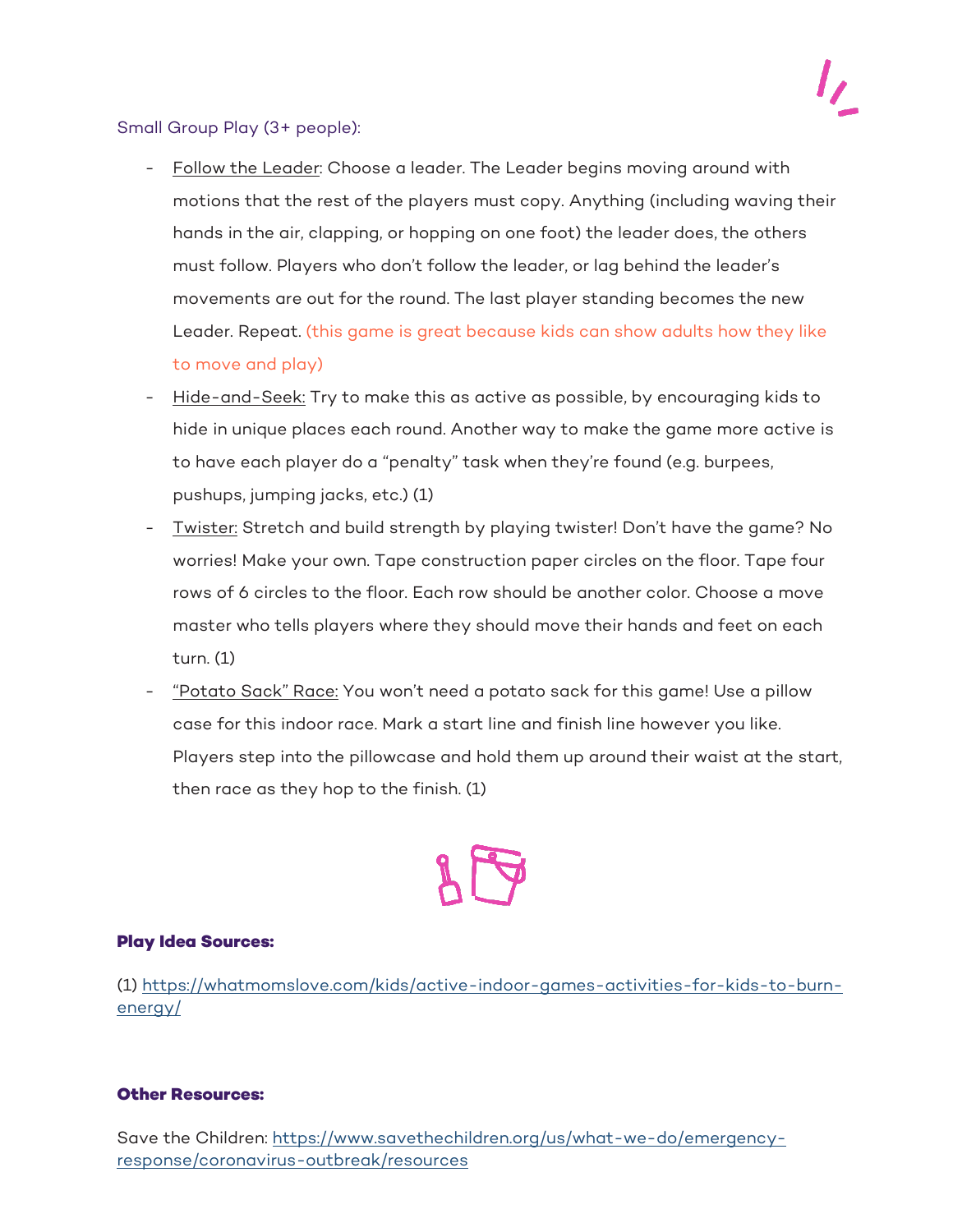#### Small Group Play (3+ people):

- Follow the Leader: Choose a leader. The Leader begins moving around with motions that the rest of the players must copy. Anything (including waving their hands in the air, clapping, or hopping on one foot) the leader does, the others must follow. Players who don't follow the leader, or lag behind the leader's movements are out for the round. The last player standing becomes the new Leader. Repeat. (this game is great because kids can show adults how they like to move and play)
- Hide-and-Seek: Try to make this as active as possible, by encouraging kids to hide in unique places each round. Another way to make the game more active is to have each player do a "penalty" task when they're found (e.g. burpees, pushups, jumping jacks, etc.) (1)
- Twister: Stretch and build strength by playing twister! Don't have the game? No worries! Make your own. Tape construction paper circles on the floor. Tape four rows of 6 circles to the floor. Each row should be another color. Choose a move master who tells players where they should move their hands and feet on each turn. (1)
- "Potato Sack" Race: You won't need a potato sack for this game! Use a pillow case for this indoor race. Mark a start line and finish line however you like. Players step into the pillowcase and hold them up around their waist at the start, then race as they hop to the finish. (1)

#### **Play Idea Sources:**

(1) https://whatmomslove.com/kids/active-indoor-games-activities-for-kids-to-burnenergy/

#### **Other Resources:**

Save the Children: https://www.savethechildren.org/us/what-we-do/emergencyresponse/coronavirus-outbreak/resources